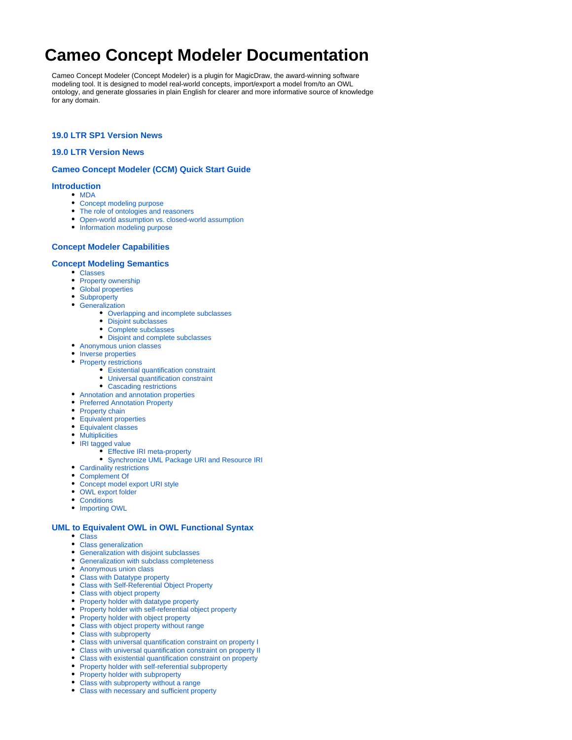# **Cameo Concept Modeler Documentation**

Cameo Concept Modeler (Concept Modeler) is a plugin for MagicDraw, the award-winning software modeling tool. It is designed to model real-world concepts, import/export a model from/to an OWL ontology, and generate glossaries in plain English for clearer and more informative source of knowledge for any domain.

## **[19.0 LTR SP1 Version News](https://docs.nomagic.com/display/CCMP190SP1/19.0+LTR+SP1+Version+News)**

## **[19.0 LTR Version News](https://docs.nomagic.com/display/CCMP190SP1/19.0+LTR+Version+News)**

## **[Cameo Concept Modeler \(CCM\) Quick Start Guide](https://docs.nomagic.com/display/CCMP190SP1/Cameo+Concept+Modeler+%28CCM%29+Quick+Start+Guide)**

## **[Introduction](https://docs.nomagic.com/display/CCMP190SP1/Introduction)**

- [MDA](https://docs.nomagic.com/display/CCMP190SP1/MDA)
	- [Concept modeling purpose](https://docs.nomagic.com/display/CCMP190SP1/Concept+modeling+purpose)
	- [The role of ontologies and reasoners](https://docs.nomagic.com/display/CCMP190SP1/The+role+of+ontologies+and+reasoners)
	- [Open-world assumption vs. closed-world assumption](https://docs.nomagic.com/display/CCMP190SP1/Open-world+assumption+vs.+closed-world+assumption)
	- [Information modeling purpose](https://docs.nomagic.com/display/CCMP190SP1/Information+modeling+purpose)

# **[Concept Modeler Capabilities](https://docs.nomagic.com/display/CCMP190SP1/Concept+Modeler+Capabilities)**

#### **[Concept Modeling Semantics](https://docs.nomagic.com/display/CCMP190SP1/Concept+Modeling+Semantics)**

- [Classes](https://docs.nomagic.com/display/CCMP190SP1/Classes)
- [Property ownership](https://docs.nomagic.com/display/CCMP190SP1/Property+ownership)
- [Global properties](https://docs.nomagic.com/display/CCMP190SP1/Global+properties)
- [Subproperty](https://docs.nomagic.com/display/CCMP190SP1/Subproperty)
- **•** [Generalization](https://docs.nomagic.com/display/CCMP190SP1/Generalization)
	- [Overlapping and incomplete subclasses](https://docs.nomagic.com/display/CCMP190SP1/Overlapping+and+incomplete+subclasses)
	- [Disjoint subclasses](https://docs.nomagic.com/display/CCMP190SP1/Disjoint+subclasses)
	- [Complete subclasses](https://docs.nomagic.com/display/CCMP190SP1/Complete+subclasses)
	- [Disjoint and complete subclasses](https://docs.nomagic.com/display/CCMP190SP1/Disjoint+and+complete+subclasses)
- [Anonymous union classes](https://docs.nomagic.com/display/CCMP190SP1/Anonymous+union+classes)
- [Inverse properties](https://docs.nomagic.com/display/CCMP190SP1/Inverse+properties)
- [Property restrictions](https://docs.nomagic.com/display/CCMP190SP1/Property+restrictions)
	- [Existential quantification constraint](https://docs.nomagic.com/display/CCMP190SP1/Existential+quantification+constraint)
	- [Universal quantification constraint](https://docs.nomagic.com/display/CCMP190SP1/Universal+quantification+constraint)
	- [Cascading restrictions](https://docs.nomagic.com/display/CCMP190SP1/Cascading+restrictions)
- [Annotation and annotation properties](https://docs.nomagic.com/display/CCMP190SP1/Annotation+and+annotation+properties)
- [Preferred Annotation Property](https://docs.nomagic.com/display/CCMP190SP1/Preferred+Annotation+Property)
- [Property chain](https://docs.nomagic.com/display/CCMP190SP1/Property+chain)
- [Equivalent properties](https://docs.nomagic.com/display/CCMP190SP1/Equivalent+properties)
- [Equivalent classes](https://docs.nomagic.com/display/CCMP190SP1/Equivalent+classes)
- **[Multiplicities](https://docs.nomagic.com/display/CCMP190SP1/Multiplicities)**
- [IRI tagged value](https://docs.nomagic.com/display/CCMP190SP1/IRI+tagged+value)
	- [Effective IRI meta-property](https://docs.nomagic.com/display/CCMP190SP1/Effective+IRI+meta-property)
	- [Synchronize UML Package URI and Resource IRI](https://docs.nomagic.com/display/CCMP190SP1/Synchronize+UML+Package+URI+and+Resource+IRI)
- [Cardinality restrictions](https://docs.nomagic.com/display/CCMP190SP1/Cardinality+restrictions)
- [Complement Of](https://docs.nomagic.com/display/CCMP190SP1/Complement+Of)
- [Concept model export URI style](https://docs.nomagic.com/display/CCMP190SP1/Concept+model+export+URI+style)
- [OWL export folder](https://docs.nomagic.com/display/CCMP190SP1/OWL+export+folder)
- [Conditions](https://docs.nomagic.com/display/CCMP190SP1/Conditions)
- [Importing OWL](https://docs.nomagic.com/display/CCMP190SP1/Importing+OWL)

#### **[UML to Equivalent OWL in OWL Functional Syntax](https://docs.nomagic.com/display/CCMP190SP1/UML+to+Equivalent+OWL+in+OWL+Functional+Syntax)**

- [Class](https://docs.nomagic.com/display/CCMP190SP1/Class)
- [Class generalization](https://docs.nomagic.com/display/CCMP190SP1/Class+generalization)
- [Generalization with disjoint subclasses](https://docs.nomagic.com/display/CCMP190SP1/Generalization+with+disjoint+subclasses)
- [Generalization with subclass completeness](https://docs.nomagic.com/display/CCMP190SP1/Generalization+with+subclass+completeness)
- [Anonymous union class](https://docs.nomagic.com/display/CCMP190SP1/Anonymous+union+class)
- [Class with Datatype property](https://docs.nomagic.com/display/CCMP190SP1/Class+with+Datatype+property)
- [Class with Self-Referential Object Property](https://docs.nomagic.com/display/CCMP190SP1/Class+with+Self-Referential+Object+Property)
- [Class with object property](https://docs.nomagic.com/display/CCMP190SP1/Class+with+object+property)
- [Property holder with datatype property](https://docs.nomagic.com/display/CCMP190SP1/Property+holder+with+datatype+property)
- [Property holder with self-referential object property](https://docs.nomagic.com/display/CCMP190SP1/Property+holder+with+self-referential+object+property)
- [Property holder with object property](https://docs.nomagic.com/display/CCMP190SP1/Property+holder+with+object+property)
- [Class with object property without range](https://docs.nomagic.com/display/CCMP190SP1/Class+with+object+property+without+range)
- [Class with subproperty](https://docs.nomagic.com/display/CCMP190SP1/Class+with+subproperty)
- [Class with universal quantification constraint on property I](https://docs.nomagic.com/display/CCMP190SP1/Class+with+universal+quantification+constraint+on+property+I)
- [Class with universal quantification constraint on property II](https://docs.nomagic.com/display/CCMP190SP1/Class+with+universal+quantification+constraint+on+property+II)
- [Class with existential quantification constraint on property](https://docs.nomagic.com/display/CCMP190SP1/Class+with+existential+quantification+constraint+on+property)
- [Property holder with self-referential subproperty](https://docs.nomagic.com/display/CCMP190SP1/Property+holder+with+self-referential+subproperty)
- [Property holder with subproperty](https://docs.nomagic.com/display/CCMP190SP1/Property+holder+with+subproperty)
- [Class with subproperty without a range](https://docs.nomagic.com/display/CCMP190SP1/Class+with+subproperty+without+a+range)
- [Class with necessary and sufficient property](https://docs.nomagic.com/display/CCMP190SP1/Class+with+necessary+and+sufficient+property)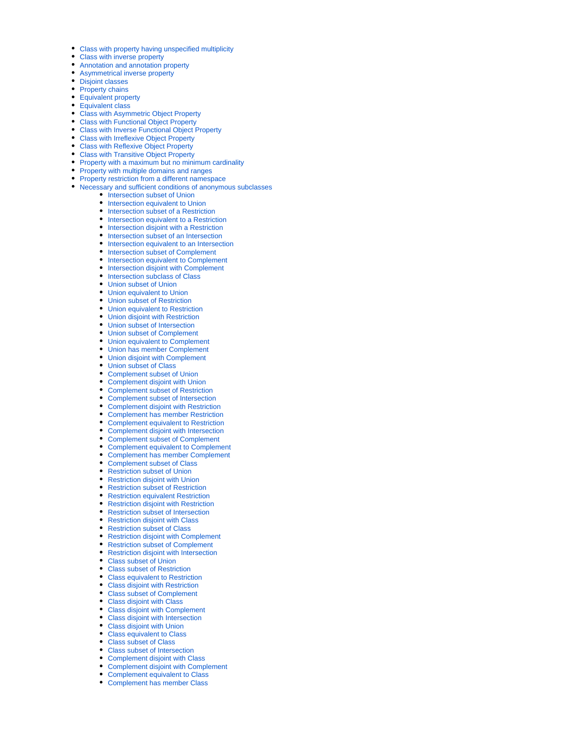- [Class with property having unspecified multiplicity](https://docs.nomagic.com/display/CCMP190SP1/Class+with+property+having+unspecified+multiplicity)
- [Class with inverse property](https://docs.nomagic.com/display/CCMP190SP1/Class+with+inverse+property)
- [Annotation and annotation property](https://docs.nomagic.com/display/CCMP190SP1/Annotation+and+annotation+property)
- $\bullet$ [Asymmetrical inverse property](https://docs.nomagic.com/display/CCMP190SP1/Asymmetrical+inverse+property)
- $\bullet$ [Disjoint classes](https://docs.nomagic.com/display/CCMP190SP1/Disjoint+classes)
- [Property chains](https://docs.nomagic.com/display/CCMP190SP1/Property+chains)
- **[Equivalent property](https://docs.nomagic.com/display/CCMP190SP1/Equivalent+property)**
- [Equivalent class](https://docs.nomagic.com/display/CCMP190SP1/Equivalent+class)
- [Class with Asymmetric Object Property](https://docs.nomagic.com/display/CCMP190SP1/Class+with+Asymmetric+Object+Property)
- [Class with Functional Object Property](https://docs.nomagic.com/display/CCMP190SP1/Class+with+Functional+Object+Property)
- [Class with Inverse Functional Object Property](https://docs.nomagic.com/display/CCMP190SP1/Class+with+Inverse+Functional+Object+Property)
- [Class with Irreflexive Object Property](https://docs.nomagic.com/display/CCMP190SP1/Class+with+Irreflexive+Object+Property)
- [Class with Reflexive Object Property](https://docs.nomagic.com/display/CCMP190SP1/Class+with+Reflexive+Object+Property)
- [Class with Transitive Object Property](https://docs.nomagic.com/display/CCMP190SP1/Class+with+Transitive+Object+Property)
- [Property with a maximum but no minimum cardinality](https://docs.nomagic.com/display/CCMP190SP1/Property+with+a+maximum+but+no+minimum+cardinality)
- [Property with multiple domains and ranges](https://docs.nomagic.com/display/CCMP190SP1/Property+with+multiple+domains+and+ranges)
- [Property restriction from a different namespace](https://docs.nomagic.com/display/CCMP190SP1/Property+restriction+from+a+different+namespace)
- [Necessary and sufficient conditions of anonymous subclasses](https://docs.nomagic.com/display/CCMP190SP1/Necessary+and+sufficient+conditions+of+anonymous+subclasses)
	- [Intersection subset of Union](https://docs.nomagic.com/display/CCMP190SP1/Intersection+subset+of+Union)
	- [Intersection equivalent to Union](https://docs.nomagic.com/display/CCMP190SP1/Intersection+equivalent+to+Union)
	- **[Intersection subset of a Restriction](https://docs.nomagic.com/display/CCMP190SP1/Intersection+subset+of+a+Restriction)**
	- **•** [Intersection equivalent to a Restriction](https://docs.nomagic.com/display/CCMP190SP1/Intersection+equivalent+to+a+Restriction)
	- [Intersection disjoint with a Restriction](https://docs.nomagic.com/display/CCMP190SP1/Intersection+disjoint+with+a+Restriction)
	- [Intersection subset of an Intersection](https://docs.nomagic.com/display/CCMP190SP1/Intersection+subset+of+an+Intersection)
	- [Intersection equivalent to an Intersection](https://docs.nomagic.com/display/CCMP190SP1/Intersection+equivalent+to+an+Intersection)
	- [Intersection subset of Complement](https://docs.nomagic.com/display/CCMP190SP1/Intersection+subset+of+Complement)
	- [Intersection equivalent to Complement](https://docs.nomagic.com/display/CCMP190SP1/Intersection+equivalent+to+Complement)
	- [Intersection disjoint with Complement](https://docs.nomagic.com/display/CCMP190SP1/Intersection+disjoint+with+Complement)
	- [Intersection subclass of Class](https://docs.nomagic.com/display/CCMP190SP1/Intersection+subclass+of+Class)
	- [Union subset of Union](https://docs.nomagic.com/display/CCMP190SP1/Union+subset+of+Union)
	- [Union equivalent to Union](https://docs.nomagic.com/display/CCMP190SP1/Union+equivalent+to+Union)
	- [Union subset of Restriction](https://docs.nomagic.com/display/CCMP190SP1/Union+subset+of+Restriction)
	- [Union equivalent to Restriction](https://docs.nomagic.com/display/CCMP190SP1/Union+equivalent+to+Restriction)
	- [Union disjoint with Restriction](https://docs.nomagic.com/display/CCMP190SP1/Union+disjoint+with+Restriction)
	- [Union subset of Intersection](https://docs.nomagic.com/display/CCMP190SP1/Union+subset+of+Intersection)
	- [Union subset of Complement](https://docs.nomagic.com/display/CCMP190SP1/Union+subset+of+Complement)
	- [Union equivalent to Complement](https://docs.nomagic.com/display/CCMP190SP1/Union+equivalent+to+Complement)
	- [Union has member Complement](https://docs.nomagic.com/display/CCMP190SP1/Union+has+member+Complement)
	- [Union disjoint with Complement](https://docs.nomagic.com/display/CCMP190SP1/Union+disjoint+with+Complement)
	- [Union subset of Class](https://docs.nomagic.com/display/CCMP190SP1/Union+subset+of+Class)
	- [Complement subset of Union](https://docs.nomagic.com/display/CCMP190SP1/Complement+subset+of+Union)
	- [Complement disjoint with Union](https://docs.nomagic.com/display/CCMP190SP1/Complement+disjoint+with+Union)
	- [Complement subset of Restriction](https://docs.nomagic.com/display/CCMP190SP1/Complement+subset+of+Restriction)
	- [Complement subset of Intersection](https://docs.nomagic.com/display/CCMP190SP1/Complement+subset+of+Intersection)
	- [Complement disjoint with Restriction](https://docs.nomagic.com/display/CCMP190SP1/Complement+disjoint+with+Restriction)
	- [Complement has member Restriction](https://docs.nomagic.com/display/CCMP190SP1/Complement+has+member+Restriction)
	- [Complement equivalent to Restriction](https://docs.nomagic.com/display/CCMP190SP1/Complement+equivalent+to+Restriction)
	- [Complement disjoint with Intersection](https://docs.nomagic.com/display/CCMP190SP1/Complement+disjoint+with+Intersection)
	- [Complement subset of Complement](https://docs.nomagic.com/display/CCMP190SP1/Complement+subset+of+Complement)
	- [Complement equivalent to Complement](https://docs.nomagic.com/display/CCMP190SP1/Complement+equivalent+to+Complement)
	- [Complement has member Complement](https://docs.nomagic.com/display/CCMP190SP1/Complement+has+member+Complement)
	- [Complement subset of Class](https://docs.nomagic.com/display/CCMP190SP1/Complement+subset+of+Class)
	- [Restriction subset of Union](https://docs.nomagic.com/display/CCMP190SP1/Restriction+subset+of+Union)
	- [Restriction disjoint with Union](https://docs.nomagic.com/display/CCMP190SP1/Restriction+disjoint+with+Union)
	- [Restriction subset of Restriction](https://docs.nomagic.com/display/CCMP190SP1/Restriction+subset+of+Restriction)
	- [Restriction equivalent Restriction](https://docs.nomagic.com/display/CCMP190SP1/Restriction+equivalent+Restriction)
	- [Restriction disjoint with Restriction](https://docs.nomagic.com/display/CCMP190SP1/Restriction+disjoint+with+Restriction)
	- [Restriction subset of Intersection](https://docs.nomagic.com/display/CCMP190SP1/Restriction+subset+of+Intersection)
	- [Restriction disjoint with Class](https://docs.nomagic.com/display/CCMP190SP1/Restriction+disjoint+with+Class)
	- [Restriction subset of Class](https://docs.nomagic.com/display/CCMP190SP1/Restriction+subset+of+Class)
	- [Restriction disjoint with Complement](https://docs.nomagic.com/display/CCMP190SP1/Restriction+disjoint+with+Complement)
	- [Restriction subset of Complement](https://docs.nomagic.com/display/CCMP190SP1/Restriction+subset+of+Complement)
	- [Restriction disjoint with Intersection](https://docs.nomagic.com/display/CCMP190SP1/Restriction+disjoint+with+Intersection)
	- [Class subset of Union](https://docs.nomagic.com/display/CCMP190SP1/Class+subset+of+Union)
	- [Class subset of Restriction](https://docs.nomagic.com/display/CCMP190SP1/Class+subset+of+Restriction)
	- [Class equivalent to Restriction](https://docs.nomagic.com/display/CCMP190SP1/Class+equivalent+to+Restriction)
	- [Class disjoint with Restriction](https://docs.nomagic.com/display/CCMP190SP1/Class+disjoint+with+Restriction)
	- [Class subset of Complement](https://docs.nomagic.com/display/CCMP190SP1/Class+subset+of+Complement)
	- [Class disjoint with Class](https://docs.nomagic.com/display/CCMP190SP1/Class+disjoint+with+Class)
	- [Class disjoint with Complement](https://docs.nomagic.com/display/CCMP190SP1/Class+disjoint+with+Complement)
	- [Class disjoint with Intersection](https://docs.nomagic.com/display/CCMP190SP1/Class+disjoint+with+Intersection)
	- [Class disjoint with Union](https://docs.nomagic.com/display/CCMP190SP1/Class+disjoint+with+Union)
	- [Class equivalent to Class](https://docs.nomagic.com/display/CCMP190SP1/Class+equivalent+to+Class)
	- [Class subset of Class](https://docs.nomagic.com/display/CCMP190SP1/Class+subset+of+Class)
	- [Class subset of Intersection](https://docs.nomagic.com/display/CCMP190SP1/Class+subset+of+Intersection)
	- [Complement disjoint with Class](https://docs.nomagic.com/display/CCMP190SP1/Complement+disjoint+with+Class)
	- $\bullet$ [Complement disjoint with Complement](https://docs.nomagic.com/display/CCMP190SP1/Complement+disjoint+with+Complement)
	- [Complement equivalent to Class](https://docs.nomagic.com/display/CCMP190SP1/Complement+equivalent+to+Class)
	- $\bullet$ [Complement has member Class](https://docs.nomagic.com/display/CCMP190SP1/Complement+has+member+Class)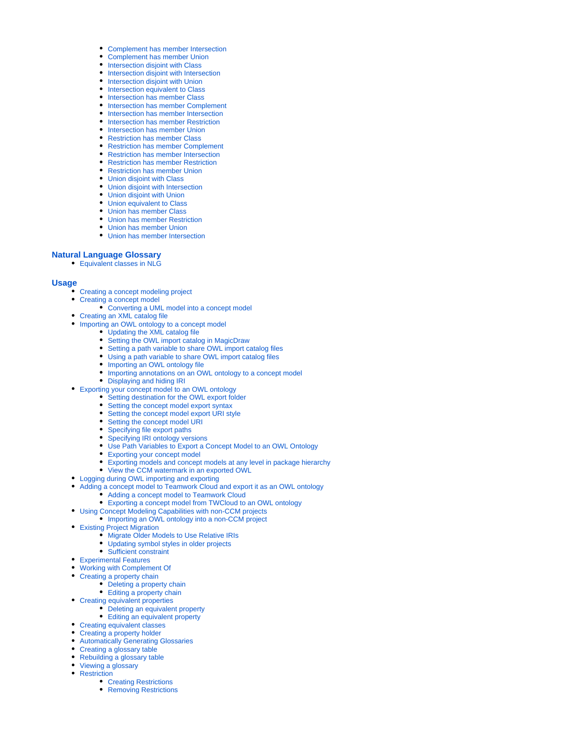- [Complement has member Intersection](https://docs.nomagic.com/display/CCMP190SP1/Complement+has+member+Intersection)
- [Complement has member Union](https://docs.nomagic.com/display/CCMP190SP1/Complement+has+member+Union)
- [Intersection disjoint with Class](https://docs.nomagic.com/display/CCMP190SP1/Intersection+disjoint+with+Class)
- [Intersection disjoint with Intersection](https://docs.nomagic.com/display/CCMP190SP1/Intersection+disjoint+with+Intersection)
- [Intersection disjoint with Union](https://docs.nomagic.com/display/CCMP190SP1/Intersection+disjoint+with+Union)
- [Intersection equivalent to Class](https://docs.nomagic.com/display/CCMP190SP1/Intersection+equivalent+to+Class)
- [Intersection has member Class](https://docs.nomagic.com/display/CCMP190SP1/Intersection+has+member+Class)
- [Intersection has member Complement](https://docs.nomagic.com/display/CCMP190SP1/Intersection+has+member+Complement) • [Intersection has member Intersection](https://docs.nomagic.com/display/CCMP190SP1/Intersection+has+member+Intersection)
- **[Intersection has member Restriction](https://docs.nomagic.com/display/CCMP190SP1/Intersection+has+member+Restriction)**
- [Intersection has member Union](https://docs.nomagic.com/display/CCMP190SP1/Intersection+has+member+Union)
- [Restriction has member Class](https://docs.nomagic.com/display/CCMP190SP1/Restriction+has+member+Class)
- [Restriction has member Complement](https://docs.nomagic.com/display/CCMP190SP1/Restriction+has+member+Complement)
- [Restriction has member Intersection](https://docs.nomagic.com/display/CCMP190SP1/Restriction+has+member+Intersection)
- [Restriction has member Restriction](https://docs.nomagic.com/display/CCMP190SP1/Restriction+has+member+Restriction)
- [Restriction has member Union](https://docs.nomagic.com/display/CCMP190SP1/Restriction+has+member+Union)
- [Union disjoint with Class](https://docs.nomagic.com/display/CCMP190SP1/Union+disjoint+with+Class)
- [Union disjoint with Intersection](https://docs.nomagic.com/display/CCMP190SP1/Union+disjoint+with+Intersection)
- [Union disjoint with Union](https://docs.nomagic.com/display/CCMP190SP1/Union+disjoint+with+Union)
- [Union equivalent to Class](https://docs.nomagic.com/display/CCMP190SP1/Union+equivalent+to+Class)
- [Union has member Class](https://docs.nomagic.com/display/CCMP190SP1/Union+has+member+Class)
- [Union has member Restriction](https://docs.nomagic.com/display/CCMP190SP1/Union+has+member+Restriction)
- [Union has member Union](https://docs.nomagic.com/display/CCMP190SP1/Union+has+member+Union)
- [Union has member Intersection](https://docs.nomagic.com/display/CCMP190SP1/Union+has+member+Intersection)

# **[Natural Language Glossary](https://docs.nomagic.com/display/CCMP190SP1/Natural+Language+Glossary)**

[Equivalent classes in NLG](https://docs.nomagic.com/display/CCMP190SP1/Equivalent+classes+in+NLG)

# **[Usage](https://docs.nomagic.com/display/CCMP190SP1/Usage)**

- [Creating a concept modeling project](https://docs.nomagic.com/display/CCMP190SP1/Creating+a+concept+modeling+project)
- [Creating a concept model](https://docs.nomagic.com/display/CCMP190SP1/Creating+a+concept+model)
	- [Converting a UML model into a concept model](https://docs.nomagic.com/display/CCMP190SP1/Converting+a+UML+model+into+a+concept+model)
- [Creating an XML catalog file](https://docs.nomagic.com/display/CCMP190SP1/Creating+an+XML+catalog+file)
- [Importing an OWL ontology to a concept model](https://docs.nomagic.com/display/CCMP190SP1/Importing+an+OWL+ontology+to+a+concept+model)
	- [Updating the XML catalog file](https://docs.nomagic.com/display/CCMP190SP1/Updating+the+XML+catalog+file)
	- [Setting the OWL import catalog in MagicDraw](https://docs.nomagic.com/display/CCMP190SP1/Setting+the+OWL+import+catalog+in+MagicDraw)
	- [Setting a path variable to share OWL import catalog files](https://docs.nomagic.com/display/CCMP190SP1/Setting+a+path+variable+to+share+OWL+import+catalog+files)
	- $\bullet$ [Using a path variable to share OWL import catalog files](https://docs.nomagic.com/display/CCMP190SP1/Using+a+path+variable+to+share+OWL+import+catalog+files)
	- [Importing an OWL ontology file](https://docs.nomagic.com/display/CCMP190SP1/Importing+an+OWL+ontology+file)
	- [Importing annotations on an OWL ontology to a concept model](https://docs.nomagic.com/display/CCMP190SP1/Importing+annotations+on+an+OWL+ontology+to+a+concept+model)
	- [Displaying and hiding IRI](https://docs.nomagic.com/display/CCMP190SP1/Displaying+and+hiding+IRI)
- [Exporting your concept model to an OWL ontology](https://docs.nomagic.com/display/CCMP190SP1/Exporting+your+concept+model+to+an+OWL+ontology)
	- [Setting destination for the OWL export folder](https://docs.nomagic.com/display/CCMP190SP1/Setting+destination+for+the+OWL+export+folder)
	- [Setting the concept model export syntax](https://docs.nomagic.com/display/CCMP190SP1/Setting+the+concept+model+export+syntax)
	- [Setting the concept model export URI style](https://docs.nomagic.com/display/CCMP190SP1/Setting+the+concept+model+export+URI+style)
	- [Setting the concept model URI](https://docs.nomagic.com/display/CCMP190SP1/Setting+the+concept+model+URI)
	- [Specifying file export paths](https://docs.nomagic.com/display/CCMP190SP1/Specifying+file+export+paths)
	- [Specifying IRI ontology versions](https://docs.nomagic.com/display/CCMP190SP1/Specifying+IRI+ontology+versions)
	- [Use Path Variables to Export a Concept Model to an OWL Ontology](https://docs.nomagic.com/display/CCMP190SP1/Use+Path+Variables+to+Export+a+Concept+Model+to+an+OWL+Ontology)
	- $\bullet$ [Exporting your concept model](https://docs.nomagic.com/display/CCMP190SP1/Exporting+your+concept+model)
	- [Exporting models and concept models at any level in package hierarchy](https://docs.nomagic.com/display/CCMP190SP1/Exporting+models+and+concept+models+at+any+level+in+package+hierarchy)
	- [View the CCM watermark in an exported OWL](https://docs.nomagic.com/display/CCMP190SP1/View+the+CCM+watermark+in+an+exported+OWL)
- [Logging during OWL importing and exporting](https://docs.nomagic.com/display/CCMP190SP1/Logging+during+OWL+importing+and+exporting)
	- [Adding a concept model to Teamwork Cloud and export it as an OWL ontology](https://docs.nomagic.com/display/CCMP190SP1/Adding+a+concept+model+to+Teamwork+Cloud+and+export+it+as+an+OWL+ontology)
		- [Adding a concept model to Teamwork Cloud](https://docs.nomagic.com/display/CCMP190SP1/Adding+a+concept+model+to+Teamwork+Cloud)
		- [Exporting a concept model from TWCloud to an OWL ontology](https://docs.nomagic.com/display/CCMP190SP1/Exporting+a+concept+model+from+TWCloud+to+an+OWL+ontology)
- [Using Concept Modeling Capabilities with non-CCM projects](https://docs.nomagic.com/display/CCMP190SP1/Using+Concept+Modeling+Capabilities+with+non-CCM+projects)
	- [Importing an OWL ontology into a non-CCM project](https://docs.nomagic.com/display/CCMP190SP1/Importing+an+OWL+ontology+into+a+non-CCM+project)
- [Existing Project Migration](https://docs.nomagic.com/display/CCMP190SP1/Existing+Project+Migration)
	- $\bullet$  [Migrate Older Models to Use Relative IRIs](https://docs.nomagic.com/display/CCMP190SP1/Migrate+Older+Models+to+Use+Relative+IRIs)
	- [Updating symbol styles in older projects](https://docs.nomagic.com/display/CCMP190SP1/Updating+symbol+styles+in+older+projects)
- [Sufficient constraint](https://docs.nomagic.com/display/CCMP190SP1/Sufficient+constraint)
- [Experimental Features](https://docs.nomagic.com/display/CCMP190SP1/Experimental+Features)
- [Working with Complement Of](https://docs.nomagic.com/display/CCMP190SP1/Working+with+Complement+Of)
- [Creating a property chain](https://docs.nomagic.com/display/CCMP190SP1/Creating+a+property+chain)
	- [Deleting a property chain](https://docs.nomagic.com/display/CCMP190SP1/Deleting+a+property+chain)
		- [Editing a property chain](https://docs.nomagic.com/display/CCMP190SP1/Editing+a+property+chain)
- [Creating equivalent properties](https://docs.nomagic.com/display/CCMP190SP1/Creating+equivalent+properties)
	- [Deleting an equivalent property](https://docs.nomagic.com/display/CCMP190SP1/Deleting+an+equivalent+property)
	- [Editing an equivalent property](https://docs.nomagic.com/display/CCMP190SP1/Editing+an+equivalent+property)
- [Creating equivalent classes](https://docs.nomagic.com/display/CCMP190SP1/Creating+equivalent+classes)
- [Creating a property holder](https://docs.nomagic.com/display/CCMP190SP1/Creating+a+property+holder)
- [Automatically Generating Glossaries](https://docs.nomagic.com/display/CCMP190SP1/Automatically+Generating+Glossaries)
- [Creating a glossary table](https://docs.nomagic.com/display/CCMP190SP1/Creating+a+glossary+table)
- [Rebuilding a glossary table](https://docs.nomagic.com/display/CCMP190SP1/Rebuilding+a+glossary+table)
- [Viewing a glossary](https://docs.nomagic.com/display/CCMP190SP1/Viewing+a+glossary)
- [Restriction](https://docs.nomagic.com/display/CCMP190SP1/Restriction)
	- [Creating Restrictions](https://docs.nomagic.com/display/CCMP190SP1/Creating+Restrictions)
	- [Removing Restrictions](https://docs.nomagic.com/display/CCMP190SP1/Removing+Restrictions)